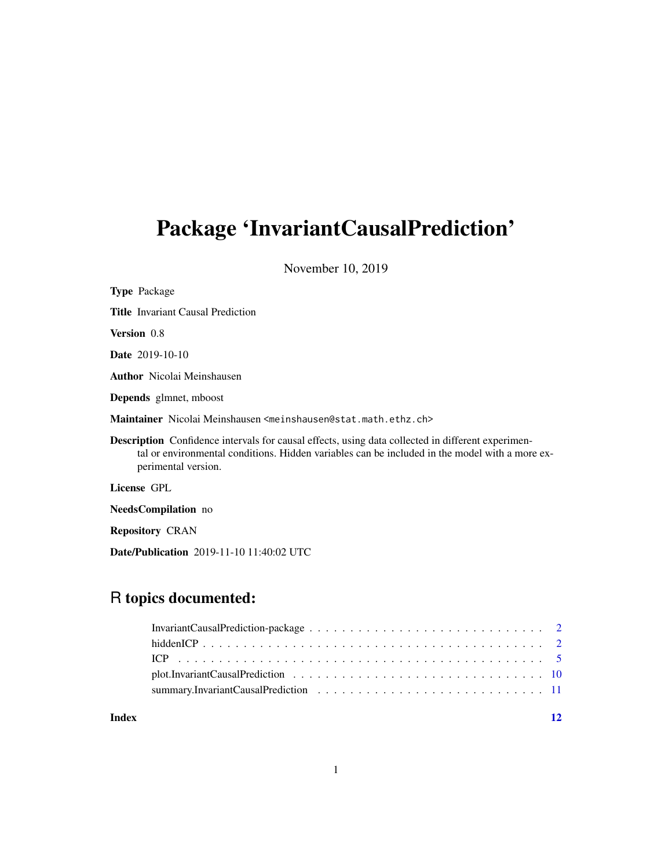# Package 'InvariantCausalPrediction'

November 10, 2019

| <b>Type Package</b>                                                                                                                                                                                                               |
|-----------------------------------------------------------------------------------------------------------------------------------------------------------------------------------------------------------------------------------|
| <b>Title</b> Invariant Causal Prediction                                                                                                                                                                                          |
| <b>Version</b> 0.8                                                                                                                                                                                                                |
| <b>Date</b> 2019-10-10                                                                                                                                                                                                            |
| <b>Author</b> Nicolai Meinshausen                                                                                                                                                                                                 |
| <b>Depends</b> glmnet, mboost                                                                                                                                                                                                     |
| Maintainer Nicolai Meinshausen <meinshausen@stat.math.ethz.ch></meinshausen@stat.math.ethz.ch>                                                                                                                                    |
| <b>Description</b> Confidence intervals for causal effects, using data collected in different experimen-<br>tal or environmental conditions. Hidden variables can be included in the model with a more ex-<br>perimental version. |
| License GPL                                                                                                                                                                                                                       |
| NeedsCompilation no                                                                                                                                                                                                               |
| <b>Repository CRAN</b>                                                                                                                                                                                                            |
| <b>Date/Publication</b> 2019-11-10 11:40:02 UTC                                                                                                                                                                                   |

# R topics documented:

#### **Index** [12](#page-11-0)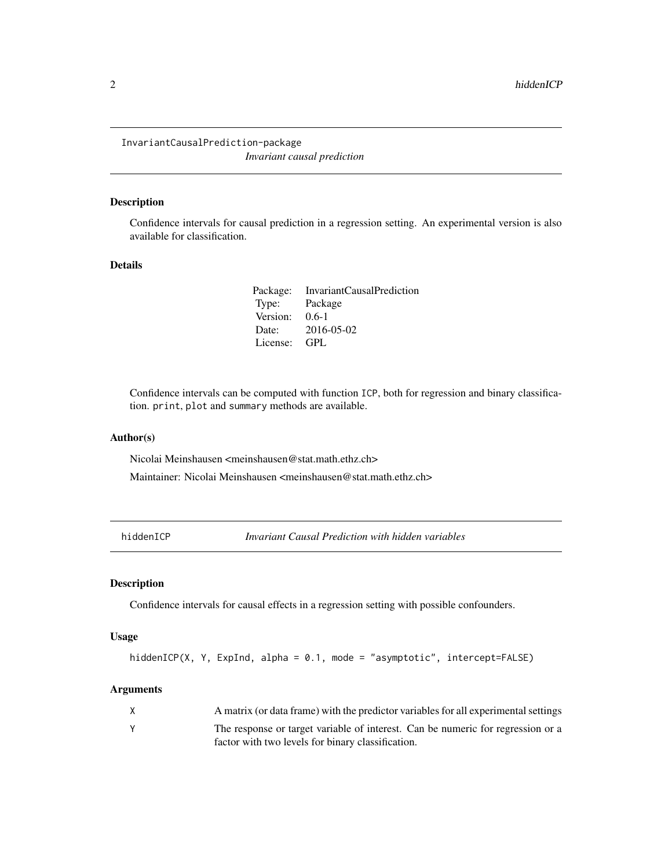<span id="page-1-0"></span>InvariantCausalPrediction-package *Invariant causal prediction*

#### Description

Confidence intervals for causal prediction in a regression setting. An experimental version is also available for classification.

# Details

|          | Package: InvariantCausalPrediction |
|----------|------------------------------------|
| Type:    | Package                            |
| Version: | $0.6-1$                            |
| Date:    | 2016-05-02                         |
| License: | GPL                                |

Confidence intervals can be computed with function ICP, both for regression and binary classification. print, plot and summary methods are available.

#### Author(s)

Nicolai Meinshausen <meinshausen@stat.math.ethz.ch>

Maintainer: Nicolai Meinshausen <meinshausen@stat.math.ethz.ch>

<span id="page-1-1"></span>hiddenICP *Invariant Causal Prediction with hidden variables*

# Description

Confidence intervals for causal effects in a regression setting with possible confounders.

#### Usage

```
hiddenICP(X, Y, ExpInd, alpha = 0.1, mode = "asymptotic", intercept=FALSE)
```
#### Arguments

| X | A matrix (or data frame) with the predictor variables for all experimental settings |
|---|-------------------------------------------------------------------------------------|
|   | The response or target variable of interest. Can be numeric for regression or a     |
|   | factor with two levels for binary classification.                                   |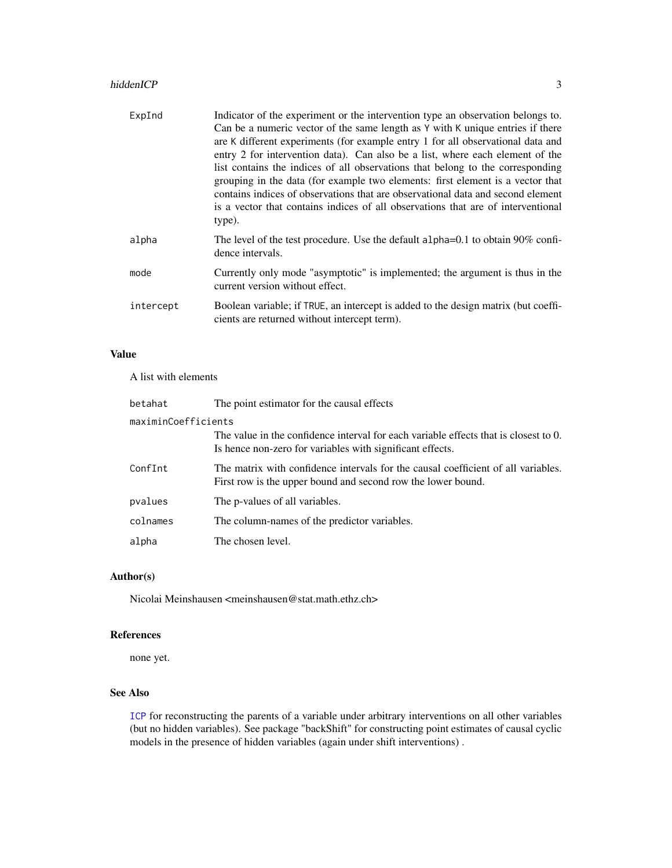#### <span id="page-2-0"></span>hiddenICP 3

| ExpInd    | Indicator of the experiment or the intervention type an observation belongs to.<br>Can be a numeric vector of the same length as Y with K unique entries if there<br>are K different experiments (for example entry 1 for all observational data and<br>entry 2 for intervention data). Can also be a list, where each element of the<br>list contains the indices of all observations that belong to the corresponding<br>grouping in the data (for example two elements: first element is a vector that<br>contains indices of observations that are observational data and second element<br>is a vector that contains indices of all observations that are of interventional<br>type). |
|-----------|--------------------------------------------------------------------------------------------------------------------------------------------------------------------------------------------------------------------------------------------------------------------------------------------------------------------------------------------------------------------------------------------------------------------------------------------------------------------------------------------------------------------------------------------------------------------------------------------------------------------------------------------------------------------------------------------|
| alpha     | The level of the test procedure. Use the default alpha=0.1 to obtain 90% confi-<br>dence intervals.                                                                                                                                                                                                                                                                                                                                                                                                                                                                                                                                                                                        |
| mode      | Currently only mode "asymptotic" is implemented; the argument is thus in the<br>current version without effect.                                                                                                                                                                                                                                                                                                                                                                                                                                                                                                                                                                            |
| intercept | Boolean variable; if TRUE, an intercept is added to the design matrix (but coeffi-<br>cients are returned without intercept term).                                                                                                                                                                                                                                                                                                                                                                                                                                                                                                                                                         |

# Value

A list with elements

| betahat             | The point estimator for the causal effects                                                                                                        |
|---------------------|---------------------------------------------------------------------------------------------------------------------------------------------------|
| maximinCoefficients |                                                                                                                                                   |
|                     | The value in the confidence interval for each variable effects that is closest to 0.<br>Is hence non-zero for variables with significant effects. |
| ConfInt             | The matrix with confidence intervals for the causal coefficient of all variables.<br>First row is the upper bound and second row the lower bound. |
| pvalues             | The p-values of all variables.                                                                                                                    |
| colnames            | The column-names of the predictor variables.                                                                                                      |
| alpha               | The chosen level.                                                                                                                                 |

# Author(s)

Nicolai Meinshausen <meinshausen@stat.math.ethz.ch>

# References

none yet.

# See Also

[ICP](#page-4-1) for reconstructing the parents of a variable under arbitrary interventions on all other variables (but no hidden variables). See package "backShift" for constructing point estimates of causal cyclic models in the presence of hidden variables (again under shift interventions) .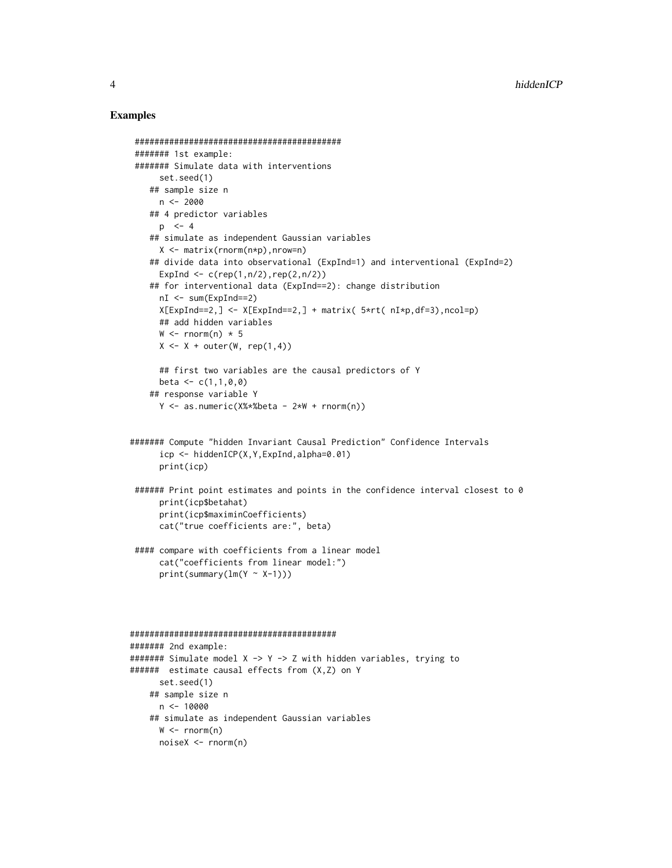#### Examples

```
##########################################
 ####### 1st example:
 ####### Simulate data with interventions
      set.seed(1)
   ## sample size n
      n < -2000## 4 predictor variables
     p \le -4## simulate as independent Gaussian variables
      X <- matrix(rnorm(n*p),nrow=n)
    ## divide data into observational (ExpInd=1) and interventional (ExpInd=2)
      ExpInd \leq c (rep(1,n/2),rep(2,n/2))
    ## for interventional data (ExpInd==2): change distribution
      nI <- sum(ExpInd==2)
      X[ExpInd==2,] <- X[ExpInd==2,] + matrix( 5*rt( nI*p,df=3),ncol=p)
      ## add hidden variables
      W \leftarrow \text{rnorm}(n) * 5X \leftarrow X + outer(W, rep(1,4))## first two variables are the causal predictors of Y
      beta \leq -c(1,1,0,0)## response variable Y
      Y \le - as.numeric(X%*%beta - 2*W + rnorm(n))
####### Compute "hidden Invariant Causal Prediction" Confidence Intervals
      icp <- hiddenICP(X,Y,ExpInd,alpha=0.01)
      print(icp)
 ####### Print point estimates and points in the confidence interval closest to 0
      print(icp$betahat)
      print(icp$maximinCoefficients)
      cat("true coefficients are:", beta)
 #### compare with coefficients from a linear model
      cat("coefficients from linear model:")
      print(summary(lm(Y ~ X-1)))##########################################
####### 2nd example:
\# \# \# \# \# \ Simulate model X -> Y -> Z with hidden variables, trying to
###### estimate causal effects from (X,Z) on Y
      set.seed(1)
   ## sample size n
     n < -10000## simulate as independent Gaussian variables
```

```
W < -rnorm(n)noiseX <- rnorm(n)
```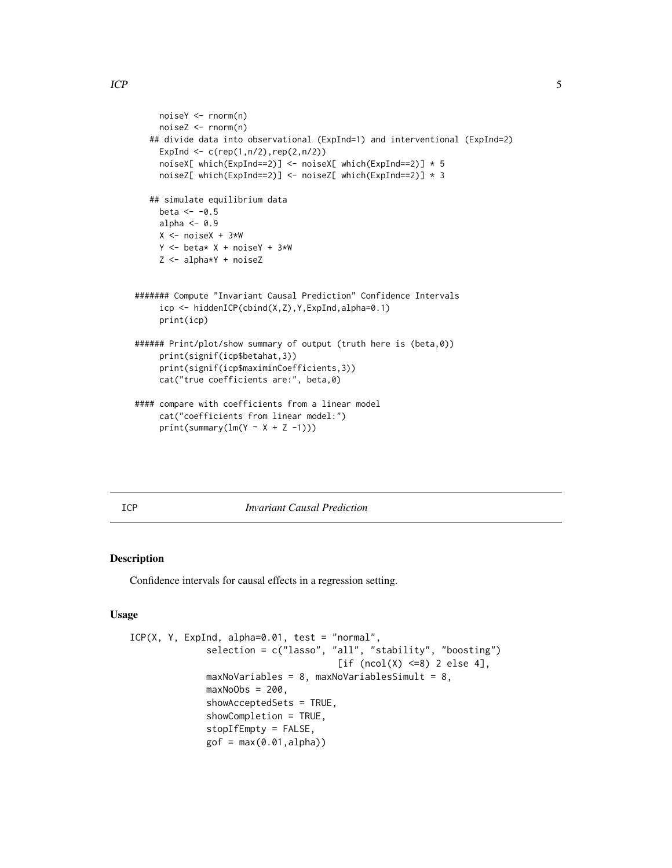```
noiseY <- rnorm(n)
    noiseZ <- rnorm(n)
   ## divide data into observational (ExpInd=1) and interventional (ExpInd=2)
    ExpInd \leq c (rep(1,n/2),rep(2,n/2))
    noiseX[ which(ExpInd==2)] <- noiseX[ which(ExpInd==2)] * 5
    noiseZ[ which(ExpInd==2)] <- noiseZ[ which(ExpInd==2)] * 3
   ## simulate equilibrium data
    beta <- -0.5alpha <-0.9X <- noiseX + 3*W
    Y \le - beta* X + noiseY + 3*W
    Z <- alpha*Y + noiseZ
####### Compute "Invariant Causal Prediction" Confidence Intervals
    icp <- hiddenICP(cbind(X,Z),Y,ExpInd,alpha=0.1)
    print(icp)
###### Print/plot/show summary of output (truth here is (beta,0))
    print(signif(icp$betahat,3))
    print(signif(icp$maximinCoefficients,3))
    cat("true coefficients are:", beta,0)
#### compare with coefficients from a linear model
     cat("coefficients from linear model:")
    print(summary(lm(Y \sim X + Z -1)))
```
<span id="page-4-1"></span>

ICP *Invariant Causal Prediction*

#### Description

Confidence intervals for causal effects in a regression setting.

#### Usage

```
ICP(X, Y, ExpInd, alpha=0.01, test = "normal",selection = c("lasso", "all", "stability", "boosting")
                                      [if (ncol(X) < = 8) 2 else 4],maxNovariables = 8, maxNovariablesSimult = 8,
              maxNoObs = 200,
              showAcceptedSets = TRUE,
              showCompletion = TRUE,
              stopIfEmpty = FALSE,
              gof = max(0.01, alpha))
```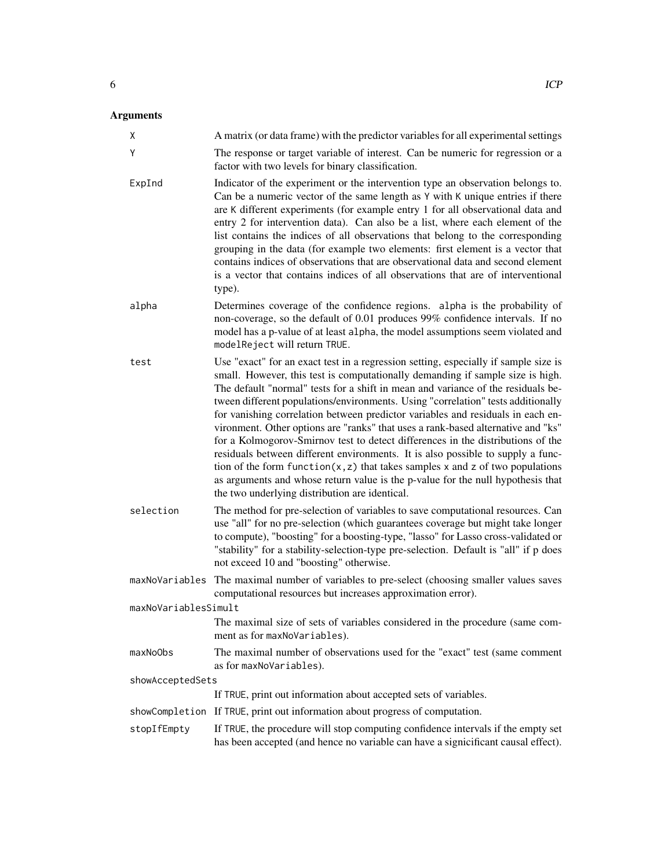| Χ                    | A matrix (or data frame) with the predictor variables for all experimental settings                                                                                                                                                                                                                                                                                                                                                                                                                                                                                                                                                                                                                                                                                                                                                                                                                                |
|----------------------|--------------------------------------------------------------------------------------------------------------------------------------------------------------------------------------------------------------------------------------------------------------------------------------------------------------------------------------------------------------------------------------------------------------------------------------------------------------------------------------------------------------------------------------------------------------------------------------------------------------------------------------------------------------------------------------------------------------------------------------------------------------------------------------------------------------------------------------------------------------------------------------------------------------------|
| Y                    | The response or target variable of interest. Can be numeric for regression or a<br>factor with two levels for binary classification.                                                                                                                                                                                                                                                                                                                                                                                                                                                                                                                                                                                                                                                                                                                                                                               |
| ExpInd               | Indicator of the experiment or the intervention type an observation belongs to.<br>Can be a numeric vector of the same length as Y with K unique entries if there<br>are K different experiments (for example entry 1 for all observational data and<br>entry 2 for intervention data). Can also be a list, where each element of the<br>list contains the indices of all observations that belong to the corresponding<br>grouping in the data (for example two elements: first element is a vector that<br>contains indices of observations that are observational data and second element<br>is a vector that contains indices of all observations that are of interventional<br>type).                                                                                                                                                                                                                         |
| alpha                | Determines coverage of the confidence regions. alpha is the probability of<br>non-coverage, so the default of 0.01 produces 99% confidence intervals. If no<br>model has a p-value of at least alpha, the model assumptions seem violated and<br>modelReject will return TRUE.                                                                                                                                                                                                                                                                                                                                                                                                                                                                                                                                                                                                                                     |
| test                 | Use "exact" for an exact test in a regression setting, especially if sample size is<br>small. However, this test is computationally demanding if sample size is high.<br>The default "normal" tests for a shift in mean and variance of the residuals be-<br>tween different populations/environments. Using "correlation" tests additionally<br>for vanishing correlation between predictor variables and residuals in each en-<br>vironment. Other options are "ranks" that uses a rank-based alternative and "ks"<br>for a Kolmogorov-Smirnov test to detect differences in the distributions of the<br>residuals between different environments. It is also possible to supply a func-<br>tion of the form $function(x, z)$ that takes samples x and z of two populations<br>as arguments and whose return value is the p-value for the null hypothesis that<br>the two underlying distribution are identical. |
| selection            | The method for pre-selection of variables to save computational resources. Can<br>use "all" for no pre-selection (which guarantees coverage but might take longer<br>to compute), "boosting" for a boosting-type, "lasso" for Lasso cross-validated or<br>"stability" for a stability-selection-type pre-selection. Default is "all" if p does<br>not exceed 10 and "boosting" otherwise.                                                                                                                                                                                                                                                                                                                                                                                                                                                                                                                          |
| maxNoVariables       | The maximal number of variables to pre-select (choosing smaller values saves<br>computational resources but increases approximation error).                                                                                                                                                                                                                                                                                                                                                                                                                                                                                                                                                                                                                                                                                                                                                                        |
| maxNoVariablesSimult |                                                                                                                                                                                                                                                                                                                                                                                                                                                                                                                                                                                                                                                                                                                                                                                                                                                                                                                    |
|                      | The maximal size of sets of variables considered in the procedure (same com-<br>ment as for maxNoVariables).                                                                                                                                                                                                                                                                                                                                                                                                                                                                                                                                                                                                                                                                                                                                                                                                       |
| maxNoObs             | The maximal number of observations used for the "exact" test (same comment<br>as for maxNoVariables).                                                                                                                                                                                                                                                                                                                                                                                                                                                                                                                                                                                                                                                                                                                                                                                                              |
| showAcceptedSets     |                                                                                                                                                                                                                                                                                                                                                                                                                                                                                                                                                                                                                                                                                                                                                                                                                                                                                                                    |
|                      | If TRUE, print out information about accepted sets of variables.                                                                                                                                                                                                                                                                                                                                                                                                                                                                                                                                                                                                                                                                                                                                                                                                                                                   |
| showCompletion       | If TRUE, print out information about progress of computation.                                                                                                                                                                                                                                                                                                                                                                                                                                                                                                                                                                                                                                                                                                                                                                                                                                                      |
| stopIfEmpty          | If TRUE, the procedure will stop computing confidence intervals if the empty set<br>has been accepted (and hence no variable can have a signicificant causal effect).                                                                                                                                                                                                                                                                                                                                                                                                                                                                                                                                                                                                                                                                                                                                              |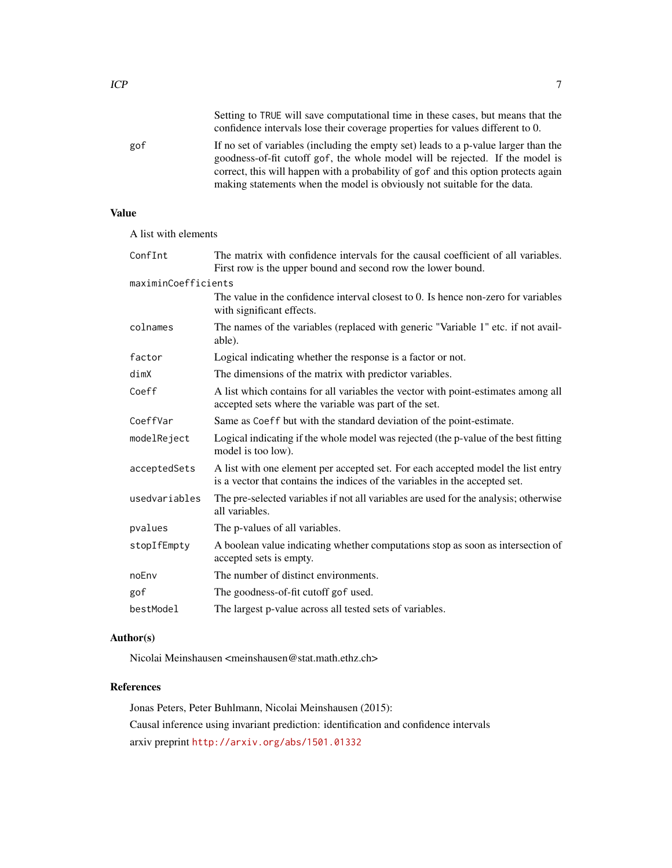goodness-of-fit cutoff gof, the whole model will be rejected. If the model is correct, this will happen with a probability of gof and this option protects again making statements when the model is obviously not suitable for the data.

# Value

A list with elements

| ConfInt             | The matrix with confidence intervals for the causal coefficient of all variables.<br>First row is the upper bound and second row the lower bound.               |
|---------------------|-----------------------------------------------------------------------------------------------------------------------------------------------------------------|
| maximinCoefficients |                                                                                                                                                                 |
|                     | The value in the confidence interval closest to 0. Is hence non-zero for variables<br>with significant effects.                                                 |
| colnames            | The names of the variables (replaced with generic "Variable 1" etc. if not avail-<br>able).                                                                     |
| factor              | Logical indicating whether the response is a factor or not.                                                                                                     |
| dimX                | The dimensions of the matrix with predictor variables.                                                                                                          |
| Coeff               | A list which contains for all variables the vector with point-estimates among all<br>accepted sets where the variable was part of the set.                      |
| CoeffVar            | Same as Coeff but with the standard deviation of the point-estimate.                                                                                            |
| modelReject         | Logical indicating if the whole model was rejected (the p-value of the best fitting<br>model is too low).                                                       |
| acceptedSets        | A list with one element per accepted set. For each accepted model the list entry<br>is a vector that contains the indices of the variables in the accepted set. |
| usedvariables       | The pre-selected variables if not all variables are used for the analysis; otherwise<br>all variables.                                                          |
| pvalues             | The p-values of all variables.                                                                                                                                  |
| stopIfEmpty         | A boolean value indicating whether computations stop as soon as intersection of<br>accepted sets is empty.                                                      |
| noEnv               | The number of distinct environments.                                                                                                                            |
| gof                 | The goodness-of-fit cutoff gof used.                                                                                                                            |
| bestModel           | The largest p-value across all tested sets of variables.                                                                                                        |

#### Author(s)

Nicolai Meinshausen <meinshausen@stat.math.ethz.ch>

### References

Jonas Peters, Peter Buhlmann, Nicolai Meinshausen (2015): Causal inference using invariant prediction: identification and confidence intervals arxiv preprint <http://arxiv.org/abs/1501.01332>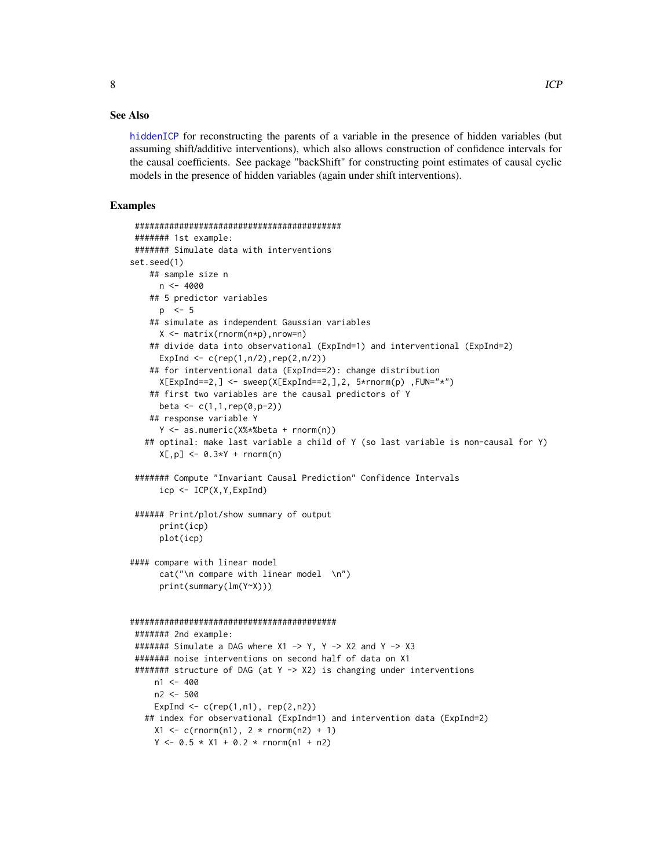#### <span id="page-7-0"></span>See Also

[hiddenICP](#page-1-1) for reconstructing the parents of a variable in the presence of hidden variables (but assuming shift/additive interventions), which also allows construction of confidence intervals for the causal coefficients. See package "backShift" for constructing point estimates of causal cyclic models in the presence of hidden variables (again under shift interventions).

#### Examples

```
##########################################
####### 1st example:
####### Simulate data with interventions
set.seed(1)
   ## sample size n
     n < -4000## 5 predictor variables
     p \le -5## simulate as independent Gaussian variables
     X <- matrix(rnorm(n*p),nrow=n)
    ## divide data into observational (ExpInd=1) and interventional (ExpInd=2)
      ExpInd \leq c (rep(1,n/2),rep(2,n/2))
    ## for interventional data (ExpInd==2): change distribution
     X[ExpInd==2, ] \leq - sweep(X[ExpInd==2, ],2, 5*rnorm(p), FlN='**")
    ## first two variables are the causal predictors of Y
     beta <- c(1,1, rep(0,p-2))## response variable Y
      Y <- as.numeric(X%*%beta + rnorm(n))
   ## optinal: make last variable a child of Y (so last variable is non-causal for Y)
      X[, p] <- 0.3*Y + rnorm(n)
####### Compute "Invariant Causal Prediction" Confidence Intervals
      icp <- ICP(X,Y,ExpInd)
###### Print/plot/show summary of output
      print(icp)
      plot(icp)
#### compare with linear model
      cat("\n\rightharpoonup" n \space complex \text{ with linear model } \n\rightharpoonup" n")print(summary(lm(Y~X)))
##########################################
####### 2nd example:
####### Simulate a DAG where X1 -> Y, Y -> X2 and Y -> X3
####### noise interventions on second half of data on X1
####### structure of DAG (at Y -> X2) is changing under interventions
    n1 < -400n2 <- 500
     ExpInd \leq c(rep(1,n1), rep(2,n2))
   ## index for observational (ExpInd=1) and intervention data (ExpInd=2)
    X1 \le c(\text{norm}(n1), 2 * \text{norm}(n2) + 1)Y \le -0.5 \times X1 + 0.2 \times \text{rnorm}(n1 + n2)
```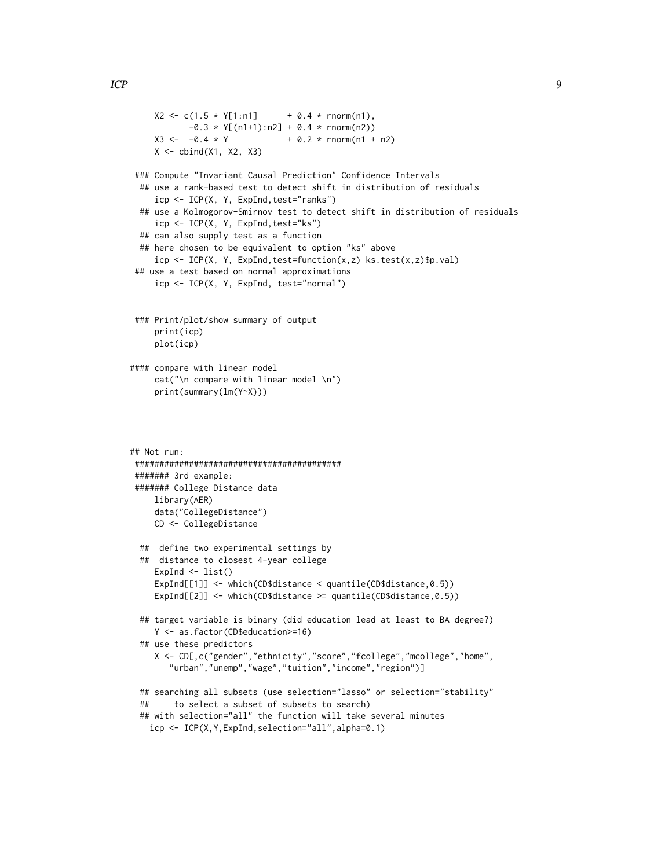```
X2 \leq -c(1.5 \times Y[1:n1] + 0.4 \times rnorm(n1),-0.3 * Y[(n1+1):n2] + 0.4 * rnorm(n2))X3 \leftarrow -0.4 \times Y + 0.2 * rnorm(n1 + n2)
    X \leftarrow \text{cbind}(X1, X2, X3)### Compute "Invariant Causal Prediction" Confidence Intervals
 ## use a rank-based test to detect shift in distribution of residuals
     icp <- ICP(X, Y, ExpInd,test="ranks")
 ## use a Kolmogorov-Smirnov test to detect shift in distribution of residuals
    icp <- ICP(X, Y, ExpInd,test="ks")
 ## can also supply test as a function
 ## here chosen to be equivalent to option "ks" above
     icp <- ICP(X, Y, ExpInd,test=function(x,z) ks.test(x,z)$p.val)
## use a test based on normal approximations
     icp <- ICP(X, Y, ExpInd, test="normal")
### Print/plot/show summary of output
    print(icp)
    plot(icp)
#### compare with linear model
    cat("\n compare with linear model \n")
    print(summary(lm(Y~X)))
## Not run:
##########################################
####### 3rd example:
####### College Distance data
    library(AER)
    data("CollegeDistance")
    CD <- CollegeDistance
 ## define two experimental settings by
 ## distance to closest 4-year college
    ExpInd \leftarrow list()
    ExpInd[[1]] <- which(CD$distance < quantile(CD$distance,0.5))
    ExpInd[[2]] <- which(CD$distance >= quantile(CD$distance,0.5))
 ## target variable is binary (did education lead at least to BA degree?)
    Y <- as.factor(CD$education>=16)
 ## use these predictors
    X <- CD[,c("gender","ethnicity","score","fcollege","mcollege","home",
        "urban","unemp","wage","tuition","income","region")]
 ## searching all subsets (use selection="lasso" or selection="stability"
 ## to select a subset of subsets to search)
 ## with selection="all" the function will take several minutes
   icp <- ICP(X,Y,ExpInd,selection="all",alpha=0.1)
```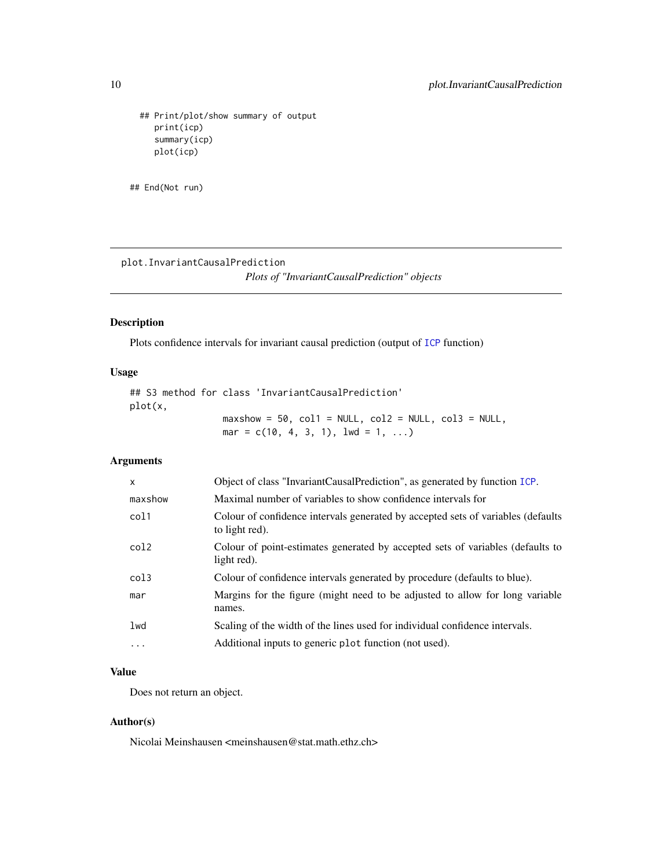```
## Print/plot/show summary of output
   print(icp)
   summary(icp)
   plot(icp)
```

```
## End(Not run)
```
plot.InvariantCausalPrediction *Plots of "InvariantCausalPrediction" objects*

#### Description

Plots confidence intervals for invariant causal prediction (output of [ICP](#page-4-1) function)

#### Usage

## S3 method for class 'InvariantCausalPrediction' plot(x, maxshow =  $50$ ,  $col1 = NULL$ ,  $col2 = NULL$ ,  $col3 = NULL$ , mar =  $c(10, 4, 3, 1),$  lwd =  $1, ...$ )

# Arguments

| $\mathsf{x}$     | Object of class "InvariantCausalPrediction", as generated by function ICP.                         |
|------------------|----------------------------------------------------------------------------------------------------|
| maxshow          | Maximal number of variables to show confidence intervals for                                       |
| col1             | Colour of confidence intervals generated by accepted sets of variables (defaults<br>to light red). |
| col2             | Colour of point-estimates generated by accepted sets of variables (defaults to<br>light red).      |
| col <sub>3</sub> | Colour of confidence intervals generated by procedure (defaults to blue).                          |
| mar              | Margins for the figure (might need to be adjusted to allow for long variable<br>names.             |
| 1wd              | Scaling of the width of the lines used for individual confidence intervals.                        |
| $\cdots$         | Additional inputs to generic plot function (not used).                                             |

# Value

Does not return an object.

# Author(s)

Nicolai Meinshausen <meinshausen@stat.math.ethz.ch>

<span id="page-9-0"></span>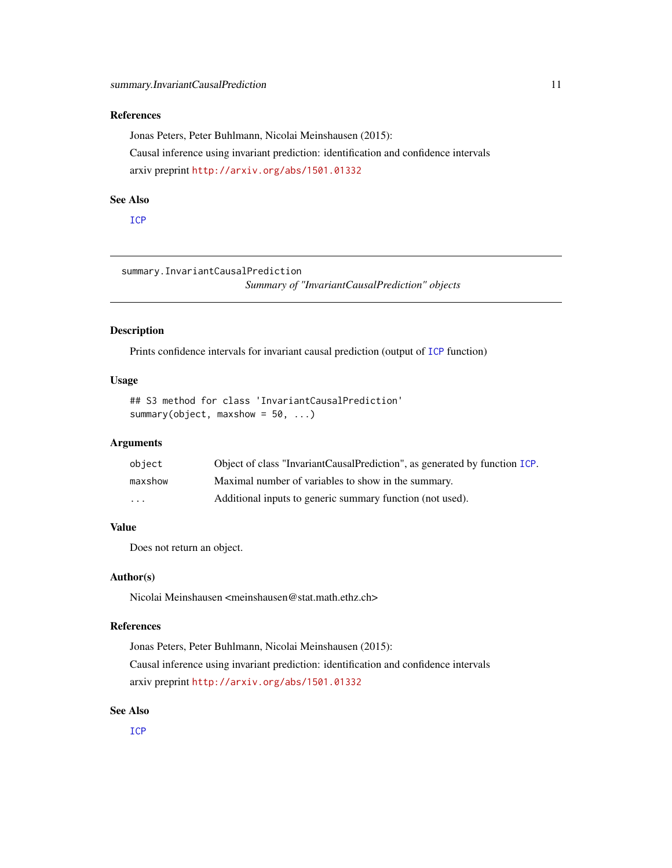# <span id="page-10-0"></span>References

Jonas Peters, Peter Buhlmann, Nicolai Meinshausen (2015): Causal inference using invariant prediction: identification and confidence intervals arxiv preprint <http://arxiv.org/abs/1501.01332>

#### See Also

[ICP](#page-4-1)

summary.InvariantCausalPrediction *Summary of "InvariantCausalPrediction" objects*

# Description

Prints confidence intervals for invariant causal prediction (output of [ICP](#page-4-1) function)

# Usage

```
## S3 method for class 'InvariantCausalPrediction'
summary(object, maxshow = 50, ...)
```
#### Arguments

| object  | Object of class "InvariantCausalPrediction", as generated by function ICP. |
|---------|----------------------------------------------------------------------------|
| maxshow | Maximal number of variables to show in the summary.                        |
| $\cdot$ | Additional inputs to generic summary function (not used).                  |

# Value

Does not return an object.

#### Author(s)

Nicolai Meinshausen <meinshausen@stat.math.ethz.ch>

#### References

Jonas Peters, Peter Buhlmann, Nicolai Meinshausen (2015): Causal inference using invariant prediction: identification and confidence intervals arxiv preprint <http://arxiv.org/abs/1501.01332>

#### See Also

[ICP](#page-4-1)